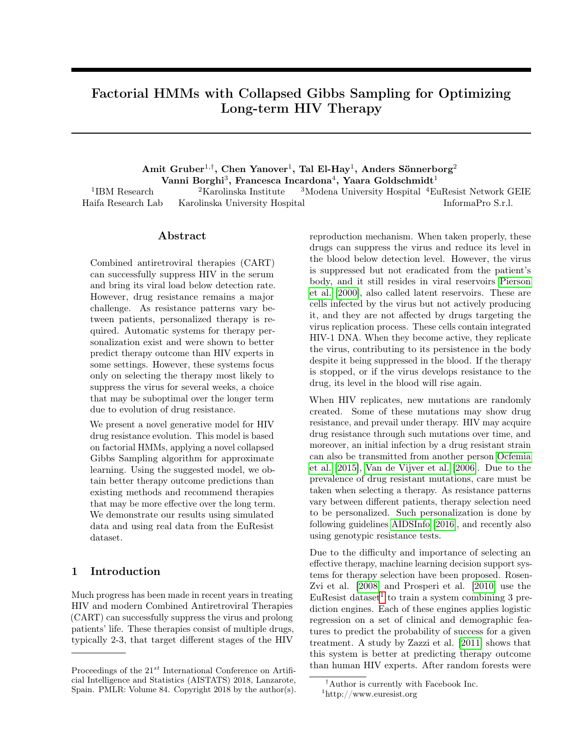# Factorial HMMs with Collapsed Gibbs Sampling for Optimizing Long-term HIV Therapy

 $\mathrm{Amit\ Gruber^{1,\dagger}, \ Chen\ Yanover^1,\ Tal\ El\-Hay^1,\ Anders\ Sönnerborg^2}$ Vanni Borghi $^3$ , Francesca Incardona $^4$ , Yaara Goldschmidt $^1$ <sup>2</sup>Karolinska Institute  $3$ Modena University Hospital  $4$ EuResist Network GEIE

1 IBM Research Haifa Research Lab Karolinska University Hospital InformaPro S.r.l.

## Abstract

Combined antiretroviral therapies (CART) can successfully suppress HIV in the serum and bring its viral load below detection rate. However, drug resistance remains a major challenge. As resistance patterns vary between patients, personalized therapy is required. Automatic systems for therapy personalization exist and were shown to better predict therapy outcome than HIV experts in some settings. However, these systems focus only on selecting the therapy most likely to suppress the virus for several weeks, a choice that may be suboptimal over the longer term due to evolution of drug resistance.

We present a novel generative model for HIV drug resistance evolution. This model is based on factorial HMMs, applying a novel collapsed Gibbs Sampling algorithm for approximate learning. Using the suggested model, we obtain better therapy outcome predictions than existing methods and recommend therapies that may be more effective over the long term. We demonstrate our results using simulated data and using real data from the EuResist dataset.

# <span id="page-0-1"></span>1 Introduction

Much progress has been made in recent years in treating HIV and modern Combined Antiretroviral Therapies (CART) can successfully suppress the virus and prolong patients' life. These therapies consist of multiple drugs, typically 2-3, that target different stages of the HIV

reproduction mechanism. When taken properly, these drugs can suppress the virus and reduce its level in the blood below detection level. However, the virus is suppressed but not eradicated from the patient's body, and it still resides in viral reservoirs [Pierson](#page-8-0) [et al.](#page-8-0) [\[2000\]](#page-8-0), also called latent reservoirs. These are cells infected by the virus but not actively producing it, and they are not affected by drugs targeting the virus replication process. These cells contain integrated HIV-1 DNA. When they become active, they replicate the virus, contributing to its persistence in the body despite it being suppressed in the blood. If the therapy is stopped, or if the virus develops resistance to the drug, its level in the blood will rise again.

When HIV replicates, new mutations are randomly created. Some of these mutations may show drug resistance, and prevail under therapy. HIV may acquire drug resistance through such mutations over time, and moreover, an initial infection by a drug resistant strain can also be transmitted from another person [Ocfemia](#page-8-1) [et al.](#page-8-1) [\[2015\]](#page-8-1), [Van de Vijver et al.](#page-9-0) [\[2006\]](#page-9-0). Due to the prevalence of drug resistant mutations, care must be taken when selecting a therapy. As resistance patterns vary between different patients, therapy selection need to be personalized. Such personalization is done by following guidelines [AIDSInfo](#page-8-2) [\[2016\]](#page-8-2), and recently also using genotypic resistance tests.

Due to the difficulty and importance of selecting an effective therapy, machine learning decision support systems for therapy selection have been proposed. Rosen-Zvi et al. [\[2008\]](#page-9-1) and Prosperi et al. [\[2010\]](#page-8-3) use the EuResist dataset<sup>[1](#page-0-0)</sup> to train a system combining 3 prediction engines. Each of these engines applies logistic regression on a set of clinical and demographic features to predict the probability of success for a given treatment. A study by Zazzi et al. [\[2011\]](#page-9-2) shows that this system is better at predicting therapy outcome than human HIV experts. After random forests were

Proceedings of the  $21^{st}$  International Conference on Artificial Intelligence and Statistics (AISTATS) 2018, Lanzarote, Spain. PMLR: Volume 84. Copyright 2018 by the author(s).

<span id="page-0-0"></span><sup>†</sup>Author is currently with Facebook Inc. <sup>1</sup>http://www.euresist.org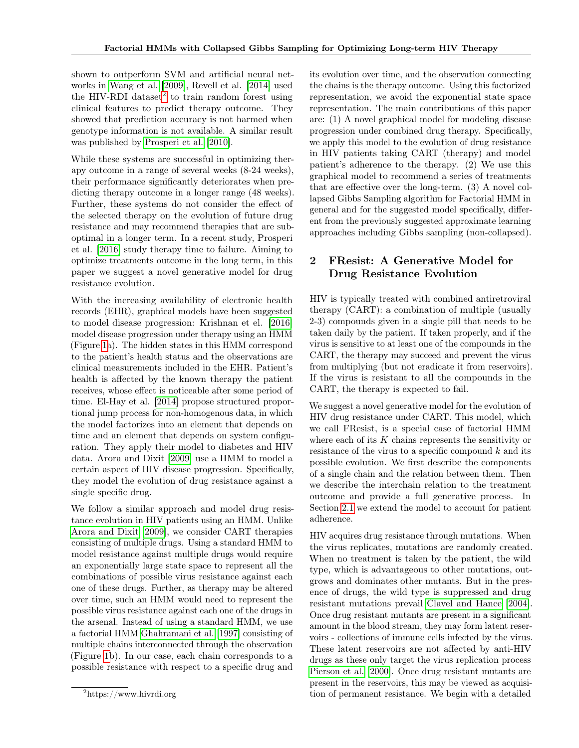shown to outperform SVM and artificial neural networks in [Wang et al.](#page-9-3) [\[2009\]](#page-9-3), Revell et al. [\[2014\]](#page-8-4) used the HIV-RDI dataset<sup>[2](#page-1-0)</sup> to train random forest using clinical features to predict therapy outcome. They showed that prediction accuracy is not harmed when genotype information is not available. A similar result was published by [Prosperi et al.](#page-8-3) [\[2010\]](#page-8-3).

While these systems are successful in optimizing therapy outcome in a range of several weeks (8-24 weeks), their performance significantly deteriorates when predicting therapy outcome in a longer range (48 weeks). Further, these systems do not consider the effect of the selected therapy on the evolution of future drug resistance and may recommend therapies that are suboptimal in a longer term. In a recent study, Prosperi et al. [\[2016\]](#page-8-5) study therapy time to failure. Aiming to optimize treatments outcome in the long term, in this paper we suggest a novel generative model for drug resistance evolution.

With the increasing availability of electronic health records (EHR), graphical models have been suggested to model disease progression: Krishnan et el. [\[2016\]](#page-8-6) model disease progression under therapy using an HMM (Figure [1a](#page-0-1)). The hidden states in this HMM correspond to the patient's health status and the observations are clinical measurements included in the EHR. Patient's health is affected by the known therapy the patient receives, whose effect is noticeable after some period of time. El-Hay et al. [\[2014\]](#page-8-7) propose structured proportional jump process for non-homogenous data, in which the model factorizes into an element that depends on time and an element that depends on system configuration. They apply their model to diabetes and HIV data. Arora and Dixit [\[2009\]](#page-8-8) use a HMM to model a certain aspect of HIV disease progression. Specifically, they model the evolution of drug resistance against a single specific drug.

We follow a similar approach and model drug resistance evolution in HIV patients using an HMM. Unlike [Arora and Dixit](#page-8-8) [\[2009\]](#page-8-8), we consider CART therapies consisting of multiple drugs. Using a standard HMM to model resistance against multiple drugs would require an exponentially large state space to represent all the combinations of possible virus resistance against each one of these drugs. Further, as therapy may be altered over time, such an HMM would need to represent the possible virus resistance against each one of the drugs in the arsenal. Instead of using a standard HMM, we use a factorial HMM [Ghahramani et al.](#page-8-9) [\[1997\]](#page-8-9) consisting of multiple chains interconnected through the observation (Figure [1b](#page-0-1)). In our case, each chain corresponds to a possible resistance with respect to a specific drug and

its evolution over time, and the observation connecting the chains is the therapy outcome. Using this factorized representation, we avoid the exponential state space representation. The main contributions of this paper are: (1) A novel graphical model for modeling disease progression under combined drug therapy. Specifically, we apply this model to the evolution of drug resistance in HIV patients taking CART (therapy) and model patient's adherence to the therapy. (2) We use this graphical model to recommend a series of treatments that are effective over the long-term. (3) A novel collapsed Gibbs Sampling algorithm for Factorial HMM in general and for the suggested model specifically, different from the previously suggested approximate learning approaches including Gibbs sampling (non-collapsed).

# <span id="page-1-1"></span>2 FResist: A Generative Model for Drug Resistance Evolution

HIV is typically treated with combined antiretroviral therapy (CART): a combination of multiple (usually 2-3) compounds given in a single pill that needs to be taken daily by the patient. If taken properly, and if the virus is sensitive to at least one of the compounds in the CART, the therapy may succeed and prevent the virus from multiplying (but not eradicate it from reservoirs). If the virus is resistant to all the compounds in the CART, the therapy is expected to fail.

We suggest a novel generative model for the evolution of HIV drug resistance under CART. This model, which we call FResist, is a special case of factorial HMM where each of its  $K$  chains represents the sensitivity or resistance of the virus to a specific compound  $k$  and its possible evolution. We first describe the components of a single chain and the relation between them. Then we describe the interchain relation to the treatment outcome and provide a full generative process. In Section [2.1](#page-3-0) we extend the model to account for patient adherence.

HIV acquires drug resistance through mutations. When the virus replicates, mutations are randomly created. When no treatment is taken by the patient, the wild type, which is advantageous to other mutations, outgrows and dominates other mutants. But in the presence of drugs, the wild type is suppressed and drug resistant mutations prevail [Clavel and Hance](#page-8-10) [\[2004\]](#page-8-10). Once drug resistant mutants are present in a significant amount in the blood stream, they may form latent reservoirs - collections of immune cells infected by the virus. These latent reservoirs are not affected by anti-HIV drugs as these only target the virus replication process [Pierson et al.](#page-8-0) [\[2000\]](#page-8-0). Once drug resistant mutants are present in the reservoirs, this may be viewed as acquisition of permanent resistance. We begin with a detailed

<span id="page-1-0"></span><sup>2</sup>https://www.hivrdi.org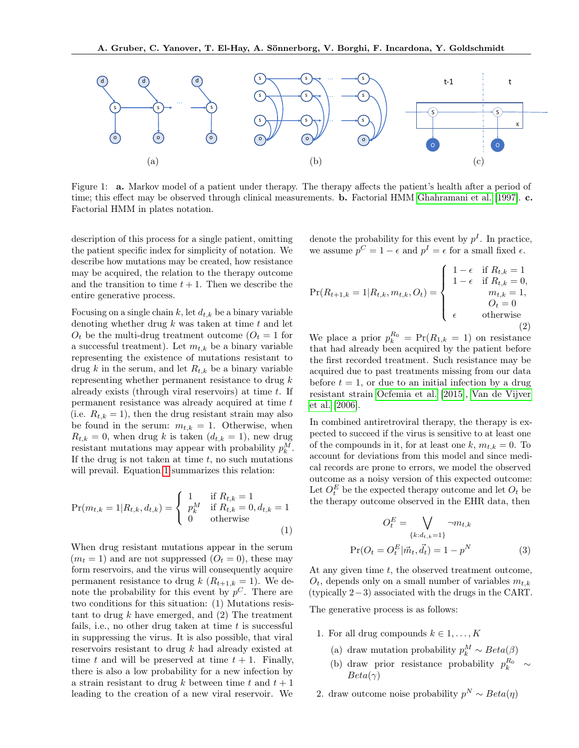

Figure 1: a. Markov model of a patient under therapy. The therapy affects the patient's health after a period of time; this effect may be observed through clinical measurements. **b.** Factorial HMM [Ghahramani et al.](#page-8-9) [\[1997\]](#page-8-9). **c.** Factorial HMM in plates notation.

description of this process for a single patient, omitting the patient specific index for simplicity of notation. We describe how mutations may be created, how resistance may be acquired, the relation to the therapy outcome and the transition to time  $t + 1$ . Then we describe the entire generative process.

Focusing on a single chain k, let  $d_{t,k}$  be a binary variable denoting whether drug  $k$  was taken at time  $t$  and let  $O_t$  be the multi-drug treatment outcome  $(O_t = 1$  for a successful treatment). Let  $m_{t,k}$  be a binary variable representing the existence of mutations resistant to drug k in the serum, and let  $R_{t,k}$  be a binary variable representing whether permanent resistance to drug  $k$ already exists (through viral reservoirs) at time  $t$ . If permanent resistance was already acquired at time t (i.e.  $R_{t,k} = 1$ ), then the drug resistant strain may also be found in the serum:  $m_{t,k} = 1$ . Otherwise, when  $R_{t,k} = 0$ , when drug k is taken  $(d_{t,k} = 1)$ , new drug resistant mutations may appear with probability  $p_k^M$ . If the drug is not taken at time  $t$ , no such mutations will prevail. Equation [1](#page-2-0) summarizes this relation:

<span id="page-2-0"></span>
$$
\Pr(m_{t,k} = 1 | R_{t,k}, d_{t,k}) = \begin{cases} 1 & \text{if } R_{t,k} = 1 \\ p_k^M & \text{if } R_{t,k} = 0, d_{t,k} = 1 \\ 0 & \text{otherwise} \end{cases}
$$
(1)

When drug resistant mutations appear in the serum  $(m_t = 1)$  and are not suppressed  $(O_t = 0)$ , these may form reservoirs, and the virus will consequently acquire permanent resistance to drug  $k$  ( $R_{t+1,k} = 1$ ). We denote the probability for this event by  $p^C$ . There are two conditions for this situation: (1) Mutations resistant to drug  $k$  have emerged, and  $(2)$  The treatment fails, i.e., no other drug taken at time  $t$  is successful in suppressing the virus. It is also possible, that viral reservoirs resistant to drug k had already existed at time t and will be preserved at time  $t + 1$ . Finally, there is also a low probability for a new infection by a strain resistant to drug k between time t and  $t + 1$ leading to the creation of a new viral reservoir. We denote the probability for this event by  $p<sup>I</sup>$ . In practice, we assume  $p^C = 1 - \epsilon$  and  $p^I = \epsilon$  for a small fixed  $\epsilon$ .

<span id="page-2-1"></span>
$$
\Pr(R_{t+1,k} = 1 | R_{t,k}, m_{t,k}, O_t) = \begin{cases} 1 - \epsilon & \text{if } R_{t,k} = 1 \\ 1 - \epsilon & \text{if } R_{t,k} = 0, \\ m_{t,k} = 1, \\ o_t = 0 \\ \epsilon & \text{otherwise} \end{cases}
$$

We place a prior  $p_k^{R_0} = Pr(R_{1,k} = 1)$  on resistance that had already been acquired by the patient before the first recorded treatment. Such resistance may be acquired due to past treatments missing from our data before  $t = 1$ , or due to an initial infection by a drug resistant strain [Ocfemia et al.](#page-8-1) [\[2015\]](#page-8-1), [Van de Vijver](#page-9-0) [et al.](#page-9-0) [\[2006\]](#page-9-0).

In combined antiretroviral therapy, the therapy is expected to succeed if the virus is sensitive to at least one of the compounds in it, for at least one k,  $m_{t,k} = 0$ . To account for deviations from this model and since medical records are prone to errors, we model the observed outcome as a noisy version of this expected outcome: Let  $O_t^E$  be the expected therapy outcome and let  $O_t$  be the therapy outcome observed in the EHR data, then

<span id="page-2-2"></span>
$$
O_t^E = \bigvee_{\{k:d_{t,k}=1\}} \neg m_{t,k}
$$

$$
\Pr(O_t = O_t^E | \vec{m}_t, \vec{d}_t) = 1 - p^N
$$
(3)

At any given time  $t$ , the observed treatment outcome,  $O_t$ , depends only on a small number of variables  $m_{t,k}$ (typically 2−3) associated with the drugs in the CART.

The generative process is as follows:

- 1. For all drug compounds  $k \in 1, \ldots, K$ 
	- (a) draw mutation probability  $p_k^M \sim Beta(\beta)$
	- (b) draw prior resistance probability  $p_k^{R_0} \sim$  $Beta(\gamma)$
- 2. draw outcome noise probability  $p^N \sim Beta(\eta)$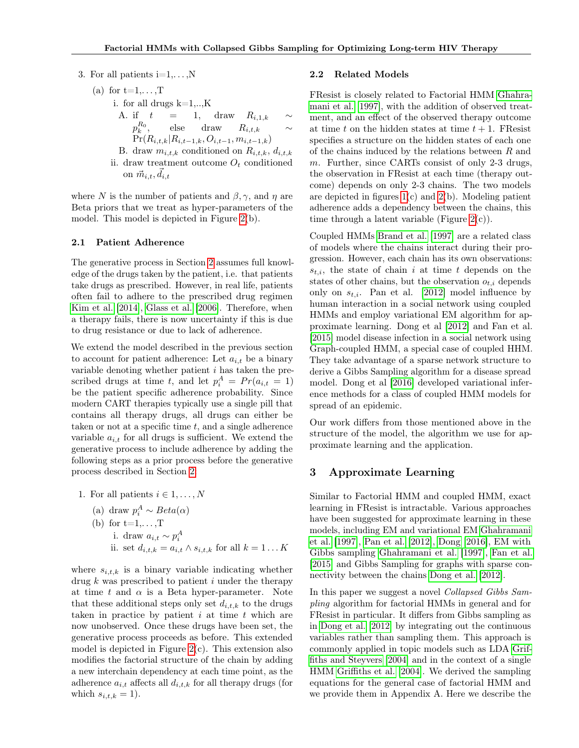3. For all patients  $i=1,\ldots,N$ 

 $(a)$ 

for t=1,...,T  
\ni. for all drugs k=1,...,K  
\nA. if 
$$
t = 1
$$
, draw  $R_{i,1,k} \sim p_k^{R_0}$ , else draw  $R_{i,t,k}$   
\n $Pr(R_{i,t,k}|R_{i,t-1,k},O_{i,t-1},m_{i,t-1,k})$ 

B. draw  $m_{i,t,k}$  conditioned on  $R_{i,t,k}$ ,  $d_{i,t,k}$ ii. draw treatment outcome  $O_t$  conditioned on  $\vec{m}_{i,t}, \vec{d}_{i,t}$ 

<span id="page-3-1"></span>where N is the number of patients and  $\beta$ ,  $\gamma$ , and  $\eta$  are Beta priors that we treat as hyper-parameters of the model. This model is depicted in Figure [2\(](#page-3-1)b).

#### <span id="page-3-0"></span>2.1 Patient Adherence

The generative process in Section [2](#page-1-1) assumes full knowledge of the drugs taken by the patient, i.e. that patients take drugs as prescribed. However, in real life, patients often fail to adhere to the prescribed drug regimen [Kim et al.](#page-8-11) [\[2014\]](#page-8-11), [Glass et al.](#page-8-12) [\[2006\]](#page-8-12). Therefore, when a therapy fails, there is now uncertainty if this is due to drug resistance or due to lack of adherence.

We extend the model described in the previous section to account for patient adherence: Let  $a_{i,t}$  be a binary variable denoting whether patient  $i$  has taken the prescribed drugs at time t, and let  $p_i^A = Pr(a_{i,t} = 1)$ be the patient specific adherence probability. Since modern CART therapies typically use a single pill that contains all therapy drugs, all drugs can either be taken or not at a specific time  $t$ , and a single adherence variable  $a_{i,t}$  for all drugs is sufficient. We extend the generative process to include adherence by adding the following steps as a prior process before the generative process described in Section [2:](#page-1-1)

1. For all patients  $i \in 1, \ldots, N$ 

\n- (a) draw 
$$
p_i^A \sim Beta(\alpha)
$$
\n- (b) for  $t=1,\ldots,T$
\n- i. draw  $a_{i,t} \sim p_i^A$
\n- ii. set  $d_{i,t,k} = a_{i,t} \wedge s_{i,t,k}$  for all  $k = 1 \ldots K$
\n

where  $s_{i,t,k}$  is a binary variable indicating whether drug  $k$  was prescribed to patient  $i$  under the therapy at time t and  $\alpha$  is a Beta hyper-parameter. Note that these additional steps only set  $d_{i,t,k}$  to the drugs taken in practice by patient  $i$  at time  $t$  which are now unobserved. Once these drugs have been set, the generative process proceeds as before. This extended model is depicted in Figure  $2(c)$ . This extension also modifies the factorial structure of the chain by adding a new interchain dependency at each time point, as the adherence  $a_{i,t}$  affects all  $d_{i,t,k}$  for all therapy drugs (for which  $s_{i,t,k} = 1$ .

#### 2.2 Related Models

FResist is closely related to Factorial HMM [Ghahra](#page-8-9)[mani et al.](#page-8-9) [\[1997\]](#page-8-9), with the addition of observed treatment, and an effect of the observed therapy outcome at time t on the hidden states at time  $t + 1$ . FResist specifies a structure on the hidden states of each one of the chains induced by the relations between R and m. Further, since CARTs consist of only 2-3 drugs, the observation in FResist at each time (therapy outcome) depends on only 2-3 chains. The two models are depicted in figures  $1(c)$  and  $2(b)$ . Modeling patient adherence adds a dependency between the chains, this time through a latent variable (Figure  $2(c)$ ).

Coupled HMMs [Brand et al.](#page-8-13) [\[1997\]](#page-8-13) are a related class of models where the chains interact during their progression. However, each chain has its own observations:  $s_{t,i}$ , the state of chain i at time t depends on the states of other chains, but the observation  $o_{t,i}$  depends only on  $s_{t,i}$ . Pan et al. [\[2012\]](#page-8-14) model influence by human interaction in a social network using coupled HMMs and employ variational EM algorithm for approximate learning. Dong et al [\[2012\]](#page-8-15) and Fan et al. [\[2015\]](#page-8-16) model disease infection in a social network using Graph-coupled HMM, a special case of coupled HHM. They take advantage of a sparse network structure to derive a Gibbs Sampling algorithm for a disease spread model. Dong et al [\[2016\]](#page-8-17) developed variational inference methods for a class of coupled HMM models for spread of an epidemic.

Our work differs from those mentioned above in the structure of the model, the algorithm we use for approximate learning and the application.

## 3 Approximate Learning

Similar to Factorial HMM and coupled HMM, exact learning in FResist is intractable. Various approaches have been suggested for approximate learning in these models, including EM and variational EM [Ghahramani](#page-8-9) [et al.](#page-8-9) [\[1997\]](#page-8-9), [Pan et al.](#page-8-14) [\[2012\]](#page-8-14), [Dong](#page-8-17) [\[2016\]](#page-8-17), EM with Gibbs sampling [Ghahramani et al.](#page-8-9) [\[1997\]](#page-8-9), [Fan et al.](#page-8-16) [\[2015\]](#page-8-16) and Gibbs Sampling for graphs with sparse connectivity between the chains [Dong et al.](#page-8-15) [\[2012\]](#page-8-15).

In this paper we suggest a novel Collapsed Gibbs Sampling algorithm for factorial HMMs in general and for FResist in particular. It differs from Gibbs sampling as in [Dong et al.](#page-8-15) [\[2012\]](#page-8-15) by integrating out the continuous variables rather than sampling them. This approach is commonly applied in topic models such as LDA [Grif](#page-8-18)[fiths and Steyvers](#page-8-18) [\[2004\]](#page-8-18) and in the context of a single HMM [Griffiths et al.](#page-8-19) [\[2004\]](#page-8-19). We derived the sampling equations for the general case of factorial HMM and we provide them in Appendix A. Here we describe the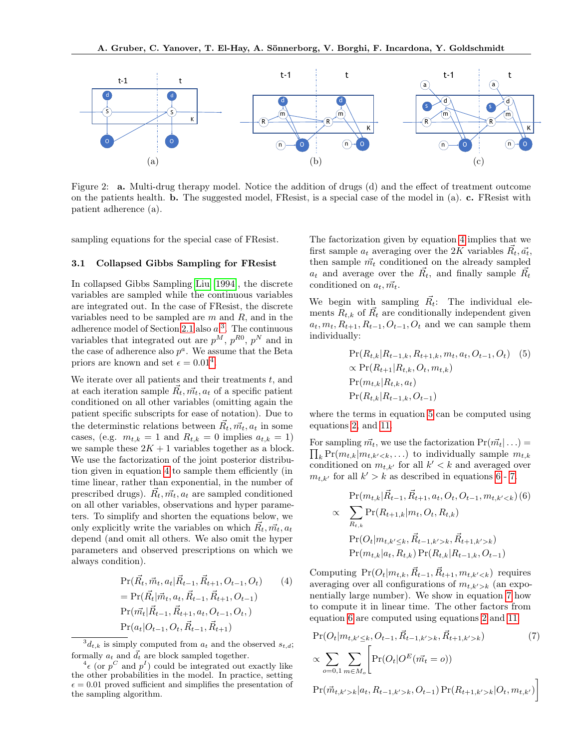

Figure 2: a. Multi-drug therapy model. Notice the addition of drugs (d) and the effect of treatment outcome on the patients health. b. The suggested model, FResist, is a special case of the model in (a). c. FResist with patient adherence (a).

sampling equations for the special case of FResist.

#### 3.1 Collapsed Gibbs Sampling for FResist

In collapsed Gibbs Sampling [Liu](#page-8-20) [\[1994\]](#page-8-20), the discrete variables are sampled while the continuous variables are integrated out. In the case of FResist, the discrete variables need to be sampled are  $m$  and  $R$ , and in the adherence model of Section [2.1](#page-3-0) also  $a<sup>3</sup>$  $a<sup>3</sup>$  $a<sup>3</sup>$ . The continuous variables that integrated out are  $p^M$ ,  $p^{R0}$ ,  $p^N$  and in the case of adherence also  $p^a$ . We assume that the Beta priors are known and set  $\epsilon = 0.01^4$  $\epsilon = 0.01^4$ .

We iterate over all patients and their treatments  $t$ , and at each iteration sample  $\vec{R}_t, \vec{m_t}, a_t$  of a specific patient conditioned on all other variables (omitting again the patient specific subscripts for ease of notation). Due to the determinstic relations between  $\vec{R_t}, \vec{m_t}, a_t$  in some cases, (e.g.  $m_{t,k} = 1$  and  $R_{t,k} = 0$  implies  $a_{t,k} = 1$ ) we sample these  $2K + 1$  variables together as a block. We use the factorization of the joint posterior distribution given in equation [4](#page-4-2) to sample them efficiently (in time linear, rather than exponential, in the number of prescribed drugs).  $\vec{R_t}, \vec{m_t}, a_t$  are sampled conditioned on all other variables, observations and hyper parameters. To simplify and shorten the equations below, we only explicitly write the variables on which  $\vec{R_t}, \vec{m_t}, a_t$ depend (and omit all others. We also omit the hyper parameters and observed prescriptions on which we always condition).

<span id="page-4-2"></span>
$$
Pr(\vec{R}_t, \vec{m}_t, a_t | \vec{R}_{t-1}, \vec{R}_{t+1}, O_{t-1}, O_t)
$$
(4)  
= 
$$
Pr(\vec{R}_t | \vec{m}_t, a_t, \vec{R}_{t-1}, \vec{R}_{t+1}, O_{t-1})
$$
  

$$
Pr(\vec{m}_t | \vec{R}_{t-1}, \vec{R}_{t+1}, a_t, O_{t-1}, O_t, )
$$
  

$$
Pr(a_t | O_{t-1}, O_t, \vec{R}_{t-1}, \vec{R}_{t+1})
$$

<span id="page-4-0"></span> ${}^3d_{t,k}$  is simply computed from  $a_t$  and the observed  $s_{t,d}$ ; formally  $a_t$  and  $\overrightarrow{d}_t$  are block sampled together.

The factorization given by equation [4](#page-4-2) implies that we first sample  $a_t$  averaging over the 2K variables  $\vec{R}_t, \vec{a_t}$ , then sample  $\vec{m_t}$  conditioned on the already sampled  $a_t$  and average over the  $\vec{R_t}$ , and finally sample  $\vec{R_t}$ conditioned on  $a_t, m_t$ .

We begin with sampling  $\vec{R}_{t}$ : The individual elements  $R_{t,k}$  of  $\vec{R_t}$  are conditionally independent given  $a_t, m_t, R_{t+1}, R_{t-1}, O_{t-1}, O_t$  and we can sample them individually:

<span id="page-4-3"></span>
$$
\Pr(R_{t,k}|R_{t-1,k}, R_{t+1,k}, m_t, a_t, O_{t-1}, O_t) \quad (5)
$$
  
 
$$
\propto \Pr(R_{t+1}|R_{t,k}, O_t, m_{t,k})
$$
  
 
$$
\Pr(m_{t,k}|R_{t,k}, a_t)
$$
  
 
$$
\Pr(R_{t,k}|R_{t-1,k}, O_{t-1})
$$

where the terms in equation [5](#page-4-3) can be computed using equations [2,](#page-2-1) and [11.](#page-5-0)

For sampling  $\vec{m_t}$ , we use the factorization  $Pr(\vec{m_t}| \ldots) =$  $\prod_k \Pr(m_{t,k}|m_{t,k' to individually sample  $m_{t,k}$$ conditioned on  $m_{t,k'}$  for all  $k' < k$  and averaged over  $m_{t,k'}$  for all  $k' > k$  as described in equations [6](#page-4-4) - [7.](#page-4-5)

<span id="page-4-4"></span>
$$
\Pr(m_{t,k}|\vec{R}_{t-1}, \vec{R}_{t+1}, a_t, O_t, O_{t-1}, m_{t,k'(6)  

$$
\propto \sum_{R_{t,k}} \Pr(R_{t+1,k}|m_t, O_t, R_{t,k})
$$
  

$$
\Pr(O_t|m_{t,k' \leq k}, \vec{R}_{t-1,k'>k}, \vec{R}_{t+1,k'>k})
$$
  

$$
\Pr(m_{t,k}|a_t, R_{t,k}) \Pr(R_{t,k}|R_{t-1,k}, O_{t-1})
$$
$$

Computing  $Pr(O_t|m_{t,k}, \vec{R}_{t-1}, \vec{R}_{t+1}, m_{t,k' requires$ averaging over all configurations of  $m_{t,k'>k}$  (an exponentially large number). We show in equation [7](#page-4-5) how to compute it in linear time. The other factors from equation [6](#page-4-4) are computed using equations [2](#page-2-1) and [11.](#page-5-0)

<span id="page-4-5"></span>
$$
Pr(O_t | m_{t,k' \le k}, O_{t-1}, \vec{R}_{t-1,k' > k}, \vec{R}_{t+1,k' > k})
$$
(7)  

$$
\propto \sum_{o=0,1} \sum_{m \in M_o} \left[ Pr(O_t | O^E(\vec{m_t} = o)) \right]
$$
  

$$
Pr(\vec{m}_{t,k' > k} | a_t, R_{t-1,k' > k}, O_{t-1}) Pr(R_{t+1,k' > k} | O_t, m_{t,k'}) \right]
$$

<span id="page-4-1"></span> $4\epsilon$  (or  $p^C$  and  $p^I$ ) could be integrated out exactly like the other probabilities in the model. In practice, setting  $\epsilon = 0.01$  proved sufficient and simplifies the presentation of the sampling algorithm.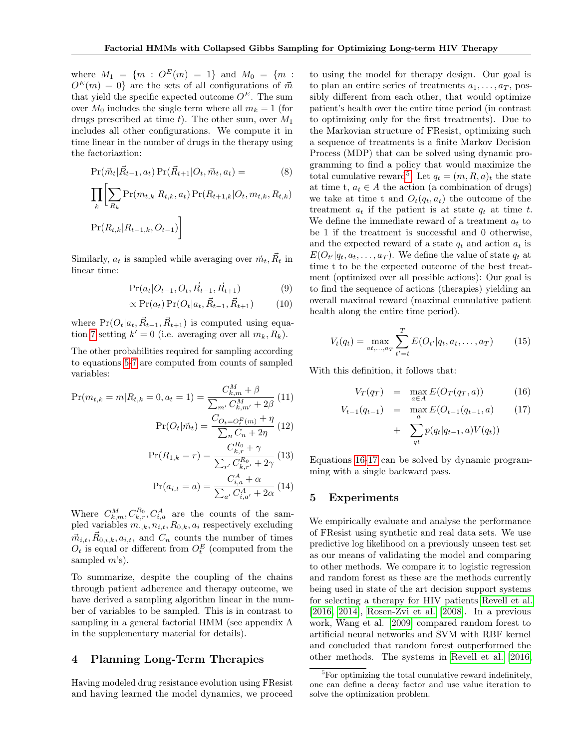where  $M_1 = \{m : O^E(m) = 1\}$  and  $M_0 = \{m :$  $O<sup>E</sup>(m) = 0$ } are the sets of all configurations of  $\vec{m}$ that yield the specific expected outcome  $O^E$ . The sum over  $M_0$  includes the single term where all  $m_k = 1$  (for drugs prescribed at time t). The other sum, over  $M_1$ includes all other configurations. We compute it in time linear in the number of drugs in the therapy using the factoriaztion:

$$
Pr(\vec{m}_t | \vec{R}_{t-1}, a_t) Pr(\vec{R}_{t+1} | O_t, \vec{m}_t, a_t) = (8)
$$

$$
\prod_{k} \left[ \sum_{R_k} \Pr(m_{t,k} | R_{t,k}, a_t) \Pr(R_{t+1,k} | O_t, m_{t,k}, R_{t,k}) \right]
$$

$$
\Pr(R_{t,k} | R_{t-1,k}, O_{t-1})
$$

Similarly,  $a_t$  is sampled while averaging over  $\vec{m}_t$ ,  $\vec{R}_t$  in linear time:

$$
Pr(a_t|O_{t-1}, O_t, \vec{R}_{t-1}, \vec{R}_{t+1})
$$
\n(9)

$$
\propto \Pr(a_t) \Pr(O_t|a_t, \vec{R}_{t-1}, \vec{R}_{t+1}) \tag{10}
$$

where  $Pr(O_t|a_t, \vec{R}_{t-1}, \vec{R}_{t+1})$  is computed using equa-tion [7](#page-4-5) setting  $k' = 0$  (i.e. averaging over all  $m_k, R_k$ ).

The other probabilities required for sampling according to equations [5-](#page-4-3)[7](#page-4-5) are computed from counts of sampled variables:

<span id="page-5-0"></span>
$$
\Pr(m_{t,k} = m | R_{t,k} = 0, a_t = 1) = \frac{C_{k,m}^M + \beta}{\sum_{m'} C_{k,m'}^M + 2\beta} (11)
$$

$$
\Pr(O_t | \vec{m}_t) = \frac{C_{O_t = O_t^E(m)} + \eta}{\sum_n C_n + 2\eta} (12)
$$

$$
\Pr(R_{1,k} = r) = \frac{C_{k,r}^{R_0} + \gamma}{\sum_{r'} C_{k,r'}^{R_0} + 2\gamma} (13)
$$

$$
\Pr(a_{i,t} = a) = \frac{C_{i,a}^A + \alpha}{\sum_{a'} C_{i,a'}^A + 2\alpha} (14)
$$

Where  $C_{k,m}^M, C_{k,r}^{R_0}, C_{i,a}^A$  are the counts of the sampled variables  $m_{.,k}, n_{i,t}, R_{0,k}, a_i$  respectively excluding  $\vec{m}_{i,t}, \vec{R}_{0,i,k}, a_{i,t}$ , and  $C_n$  counts the number of times  $O_t$  is equal or different from  $O_t^E$  (computed from the sampled  $m$ 's).

To summarize, despite the coupling of the chains through patient adherence and therapy outcome, we have derived a sampling algorithm linear in the number of variables to be sampled. This is in contrast to sampling in a general factorial HMM (see appendix A in the supplementary material for details).

# 4 Planning Long-Term Therapies

Having modeled drug resistance evolution using FResist and having learned the model dynamics, we proceed

to using the model for therapy design. Our goal is to plan an entire series of treatments  $a_1, \ldots, a_T$ , possibly different from each other, that would optimize patient's health over the entire time period (in contrast to optimizing only for the first treatments). Due to the Markovian structure of FResist, optimizing such a sequence of treatments is a finite Markov Decision Process (MDP) that can be solved using dynamic programming to find a policy that would maximize the total cumulative reward<sup>[5](#page-5-1)</sup>. Let  $q_t = (m, R, a)_t$  the state at time t,  $a_t \in A$  the action (a combination of drugs) we take at time t and  $O_t(q_t, a_t)$  the outcome of the treatment  $a_t$  if the patient is at state  $q_t$  at time t. We define the immediate reward of a treatment  $a_t$  to be 1 if the treatment is successful and 0 otherwise, and the expected reward of a state  $q_t$  and action  $a_t$  is  $E(O_{t'}|q_t, a_t, \ldots, a_T)$ . We define the value of state  $q_t$  at time t to be the expected outcome of the best treatment (optimized over all possible actions): Our goal is to find the sequence of actions (therapies) yielding an overall maximal reward (maximal cumulative patient health along the entire time period).

$$
V_t(q_t) = \max_{at,\dots,a_T} \sum_{t'=t}^T E(O_{t'}|q_t,a_t,\dots,a_T)
$$
 (15)

With this definition, it follows that:

<span id="page-5-2"></span>
$$
V_T(q_T) = \max_{a \in A} E(O_T(q_T, a)) \tag{16}
$$

$$
V_{t-1}(q_{t-1}) = \max_{a} E(O_{t-1}(q_{t-1}, a)) \qquad (17)
$$

$$
+ \sum_{qt} p(q_t|q_{t-1}, a)V(q_t))
$$

Equations [16-17](#page-5-2) can be solved by dynamic programming with a single backward pass.

#### 5 Experiments

We empirically evaluate and analyse the performance of FResist using synthetic and real data sets. We use predictive log likelihood on a previously unseen test set as our means of validating the model and comparing to other methods. We compare it to logistic regression and random forest as these are the methods currently being used in state of the art decision support systems for selecting a therapy for HIV patients [Revell et al.](#page-8-21) [\[2016,](#page-8-21) [2014\]](#page-8-4), [Rosen-Zvi et al.](#page-9-1) [\[2008\]](#page-9-1). In a previous work, Wang et al. [\[2009\]](#page-9-3) compared random forest to artificial neural networks and SVM with RBF kernel and concluded that random forest outperformed the other methods. The systems in [Revell et al.](#page-8-21) [\[2016,](#page-8-21)

<span id="page-5-1"></span> ${}^{5}$ For optimizing the total cumulative reward indefinitely, one can define a decay factor and use value iteration to solve the optimization problem.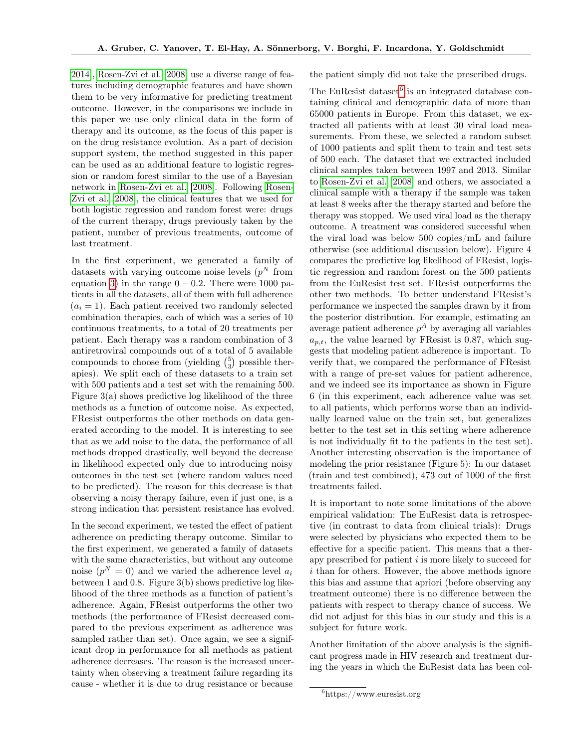[2014\]](#page-8-4), [Rosen-Zvi et al.](#page-9-1) [\[2008\]](#page-9-1) use a diverse range of features including demographic features and have shown them to be very informative for predicting treatment outcome. However, in the comparisons we include in this paper we use only clinical data in the form of therapy and its outcome, as the focus of this paper is on the drug resistance evolution. As a part of decision support system, the method suggested in this paper can be used as an additional feature to logistic regression or random forest similar to the use of a Bayesian network in [Rosen-Zvi et al.](#page-9-1) [\[2008\]](#page-9-1). Following [Rosen-](#page-9-1)[Zvi et al.](#page-9-1) [\[2008\]](#page-9-1), the clinical features that we used for both logistic regression and random forest were: drugs of the current therapy, drugs previously taken by the patient, number of previous treatments, outcome of last treatment.

In the first experiment, we generated a family of datasets with varying outcome noise levels  $(p<sup>N</sup>$  from equation [3\)](#page-2-2) in the range  $0 - 0.2$ . There were 1000 patients in all the datasets, all of them with full adherence  $(a<sub>i</sub> = 1)$ . Each patient received two randomly selected combination therapies, each of which was a series of 10 continuous treatments, to a total of 20 treatments per patient. Each therapy was a random combination of 3 antiretroviral compounds out of a total of 5 available compounds to choose from (yielding  $\binom{5}{3}$  possible therapies). We split each of these datasets to a train set with 500 patients and a test set with the remaining 500. Figure 3(a) shows predictive log likelihood of the three methods as a function of outcome noise. As expected, FResist outperforms the other methods on data generated according to the model. It is interesting to see that as we add noise to the data, the performance of all methods dropped drastically, well beyond the decrease in likelihood expected only due to introducing noisy outcomes in the test set (where random values need to be predicted). The reason for this decrease is that observing a noisy therapy failure, even if just one, is a strong indication that persistent resistance has evolved.

In the second experiment, we tested the effect of patient adherence on predicting therapy outcome. Similar to the first experiment, we generated a family of datasets with the same characteristics, but without any outcome noise  $(p^N = 0)$  and we varied the adherence level  $a_i$ between 1 and 0.8. Figure 3(b) shows predictive log likelihood of the three methods as a function of patient's adherence. Again, FResist outperforms the other two methods (the performance of FResist decreased compared to the previous experiment as adherence was sampled rather than set). Once again, we see a significant drop in performance for all methods as patient adherence decreases. The reason is the increased uncertainty when observing a treatment failure regarding its cause - whether it is due to drug resistance or because

the patient simply did not take the prescribed drugs.

The EuResist dataset<sup>[6](#page-6-0)</sup> is an integrated database containing clinical and demographic data of more than 65000 patients in Europe. From this dataset, we extracted all patients with at least 30 viral load measurements. From these, we selected a random subset of 1000 patients and split them to train and test sets of 500 each. The dataset that we extracted included clinical samples taken between 1997 and 2013. Similar to [Rosen-Zvi et al.](#page-9-1) [\[2008\]](#page-9-1) and others, we associated a clinical sample with a therapy if the sample was taken at least 8 weeks after the therapy started and before the therapy was stopped. We used viral load as the therapy outcome. A treatment was considered successful when the viral load was below 500 copies/mL and failure otherwise (see additional discussion below). Figure 4 compares the predictive log likelihood of FResist, logistic regression and random forest on the 500 patients from the EuResist test set. FResist outperforms the other two methods. To better understand FResist's performance we inspected the samples drawn by it from the posterior distribution. For example, estimating an average patient adherence  $p^A$  by averaging all variables  $a_{p,t}$ , the value learned by FResist is 0.87, which suggests that modeling patient adherence is important. To verify that, we compared the performance of FResist with a range of pre-set values for patient adherence, and we indeed see its importance as shown in Figure 6 (in this experiment, each adherence value was set to all patients, which performs worse than an individually learned value on the train set, but generalizes better to the test set in this setting where adherence is not individually fit to the patients in the test set). Another interesting observation is the importance of modeling the prior resistance (Figure 5): In our dataset (train and test combined), 473 out of 1000 of the first treatments failed.

It is important to note some limitations of the above empirical validation: The EuResist data is retrospective (in contrast to data from clinical trials): Drugs were selected by physicians who expected them to be effective for a specific patient. This means that a therapy prescribed for patient  $i$  is more likely to succeed for i than for others. However, the above methods ignore this bias and assume that apriori (before observing any treatment outcome) there is no difference between the patients with respect to therapy chance of success. We did not adjust for this bias in our study and this is a subject for future work.

Another limitation of the above analysis is the significant progress made in HIV research and treatment during the years in which the EuResist data has been col-

<span id="page-6-0"></span> $6$ https://www.euresist.org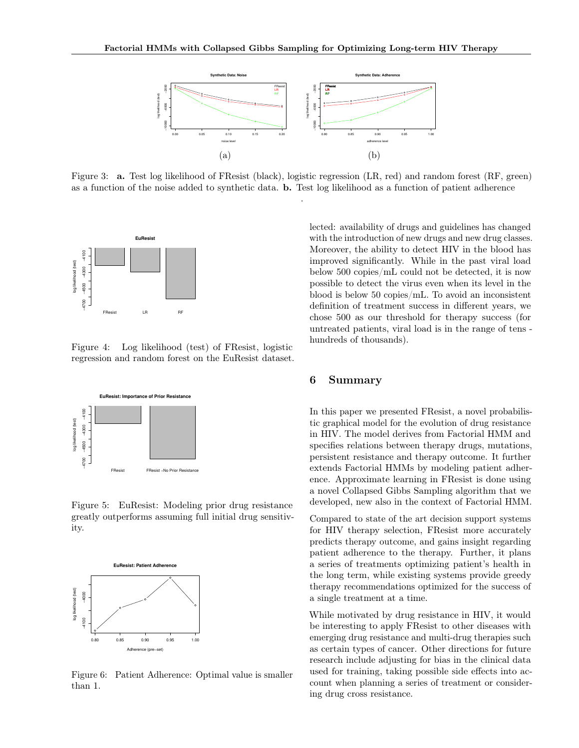

Figure 3: a. Test log likelihood of FResist (black), logistic regression (LR, red) and random forest (RF, green) as a function of the noise added to synthetic data. b. Test log likelihood as a function of patient adherence .



Figure 4: Log likelihood (test) of FResist, logistic regression and random forest on the EuResist dataset.



Figure 5: EuResist: Modeling prior drug resistance greatly outperforms assuming full initial drug sensitivity.



Figure 6: Patient Adherence: Optimal value is smaller than 1.

lected: availability of drugs and guidelines has changed with the introduction of new drugs and new drug classes. Moreover, the ability to detect HIV in the blood has improved significantly. While in the past viral load below 500 copies/mL could not be detected, it is now possible to detect the virus even when its level in the blood is below 50 copies/mL. To avoid an inconsistent definition of treatment success in different years, we chose 500 as our threshold for therapy success (for untreated patients, viral load is in the range of tens hundreds of thousands).

## 6 Summary

In this paper we presented FResist, a novel probabilistic graphical model for the evolution of drug resistance in HIV. The model derives from Factorial HMM and specifies relations between therapy drugs, mutations, persistent resistance and therapy outcome. It further extends Factorial HMMs by modeling patient adherence. Approximate learning in FResist is done using a novel Collapsed Gibbs Sampling algorithm that we developed, new also in the context of Factorial HMM.

Compared to state of the art decision support systems for HIV therapy selection, FResist more accurately predicts therapy outcome, and gains insight regarding patient adherence to the therapy. Further, it plans a series of treatments optimizing patient's health in the long term, while existing systems provide greedy therapy recommendations optimized for the success of a single treatment at a time.

While motivated by drug resistance in HIV, it would be interesting to apply FResist to other diseases with emerging drug resistance and multi-drug therapies such as certain types of cancer. Other directions for future research include adjusting for bias in the clinical data used for training, taking possible side effects into account when planning a series of treatment or considering drug cross resistance.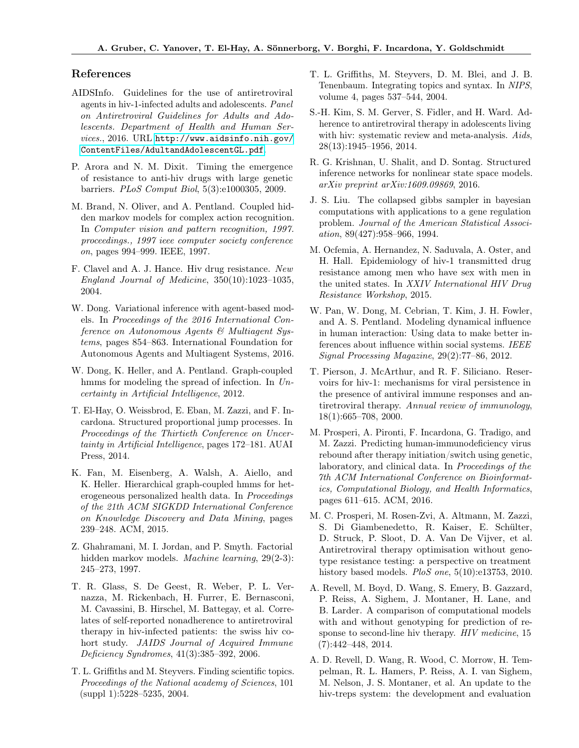### References

- <span id="page-8-2"></span>AIDSInfo. Guidelines for the use of antiretroviral agents in hiv-1-infected adults and adolescents. Panel on Antiretroviral Guidelines for Adults and Adolescents. Department of Health and Human Services., 2016. URL [http://www.aidsinfo.nih.gov/](http://www.aidsinfo.nih.gov/ContentFiles/AdultandAdolescentGL.pdf) [ContentFiles/AdultandAdolescentGL.pdf](http://www.aidsinfo.nih.gov/ContentFiles/AdultandAdolescentGL.pdf).
- <span id="page-8-8"></span>P. Arora and N. M. Dixit. Timing the emergence of resistance to anti-hiv drugs with large genetic barriers. PLoS Comput Biol, 5(3):e1000305, 2009.
- <span id="page-8-13"></span>M. Brand, N. Oliver, and A. Pentland. Coupled hidden markov models for complex action recognition. In Computer vision and pattern recognition, 1997. proceedings., 1997 ieee computer society conference on, pages 994–999. IEEE, 1997.
- <span id="page-8-10"></span>F. Clavel and A. J. Hance. Hiv drug resistance. New England Journal of Medicine, 350(10):1023–1035, 2004.
- <span id="page-8-17"></span>W. Dong. Variational inference with agent-based models. In Proceedings of the 2016 International Conference on Autonomous Agents & Multiagent Systems, pages 854–863. International Foundation for Autonomous Agents and Multiagent Systems, 2016.
- <span id="page-8-15"></span>W. Dong, K. Heller, and A. Pentland. Graph-coupled hmms for modeling the spread of infection. In Uncertainty in Artificial Intelligence, 2012.
- <span id="page-8-7"></span>T. El-Hay, O. Weissbrod, E. Eban, M. Zazzi, and F. Incardona. Structured proportional jump processes. In Proceedings of the Thirtieth Conference on Uncertainty in Artificial Intelligence, pages 172–181. AUAI Press, 2014.
- <span id="page-8-16"></span>K. Fan, M. Eisenberg, A. Walsh, A. Aiello, and K. Heller. Hierarchical graph-coupled hmms for heterogeneous personalized health data. In Proceedings of the 21th ACM SIGKDD International Conference on Knowledge Discovery and Data Mining, pages 239–248. ACM, 2015.
- <span id="page-8-9"></span>Z. Ghahramani, M. I. Jordan, and P. Smyth. Factorial hidden markov models. *Machine learning*, 29(2-3): 245–273, 1997.
- <span id="page-8-12"></span>T. R. Glass, S. De Geest, R. Weber, P. L. Vernazza, M. Rickenbach, H. Furrer, E. Bernasconi, M. Cavassini, B. Hirschel, M. Battegay, et al. Correlates of self-reported nonadherence to antiretroviral therapy in hiv-infected patients: the swiss hiv cohort study. JAIDS Journal of Acquired Immune Deficiency Syndromes, 41(3):385–392, 2006.
- <span id="page-8-18"></span>T. L. Griffiths and M. Steyvers. Finding scientific topics. Proceedings of the National academy of Sciences, 101 (suppl 1):5228–5235, 2004.
- <span id="page-8-19"></span>T. L. Griffiths, M. Steyvers, D. M. Blei, and J. B. Tenenbaum. Integrating topics and syntax. In NIPS, volume 4, pages 537–544, 2004.
- <span id="page-8-11"></span>S.-H. Kim, S. M. Gerver, S. Fidler, and H. Ward. Adherence to antiretroviral therapy in adolescents living with hiv: systematic review and meta-analysis. Aids, 28(13):1945–1956, 2014.
- <span id="page-8-6"></span>R. G. Krishnan, U. Shalit, and D. Sontag. Structured inference networks for nonlinear state space models. arXiv preprint arXiv:1609.09869, 2016.
- <span id="page-8-20"></span>J. S. Liu. The collapsed gibbs sampler in bayesian computations with applications to a gene regulation problem. Journal of the American Statistical Association, 89(427):958–966, 1994.
- <span id="page-8-1"></span>M. Ocfemia, A. Hernandez, N. Saduvala, A. Oster, and H. Hall. Epidemiology of hiv-1 transmitted drug resistance among men who have sex with men in the united states. In XXIV International HIV Drug Resistance Workshop, 2015.
- <span id="page-8-14"></span>W. Pan, W. Dong, M. Cebrian, T. Kim, J. H. Fowler, and A. S. Pentland. Modeling dynamical influence in human interaction: Using data to make better inferences about influence within social systems. IEEE Signal Processing Magazine, 29(2):77–86, 2012.
- <span id="page-8-0"></span>T. Pierson, J. McArthur, and R. F. Siliciano. Reservoirs for hiv-1: mechanisms for viral persistence in the presence of antiviral immune responses and antiretroviral therapy. Annual review of immunology, 18(1):665–708, 2000.
- <span id="page-8-5"></span>M. Prosperi, A. Pironti, F. Incardona, G. Tradigo, and M. Zazzi. Predicting human-immunodeficiency virus rebound after therapy initiation/switch using genetic, laboratory, and clinical data. In Proceedings of the 7th ACM International Conference on Bioinformatics, Computational Biology, and Health Informatics, pages 611–615. ACM, 2016.
- <span id="page-8-3"></span>M. C. Prosperi, M. Rosen-Zvi, A. Altmann, M. Zazzi, S. Di Giambenedetto, R. Kaiser, E. Schülter, D. Struck, P. Sloot, D. A. Van De Vijver, et al. Antiretroviral therapy optimisation without genotype resistance testing: a perspective on treatment history based models. PloS one,  $5(10):e13753$ , 2010.
- <span id="page-8-4"></span>A. Revell, M. Boyd, D. Wang, S. Emery, B. Gazzard, P. Reiss, A. Sighem, J. Montaner, H. Lane, and B. Larder. A comparison of computational models with and without genotyping for prediction of response to second-line hiv therapy. HIV medicine, 15 (7):442–448, 2014.
- <span id="page-8-21"></span>A. D. Revell, D. Wang, R. Wood, C. Morrow, H. Tempelman, R. L. Hamers, P. Reiss, A. I. van Sighem, M. Nelson, J. S. Montaner, et al. An update to the hiv-treps system: the development and evaluation